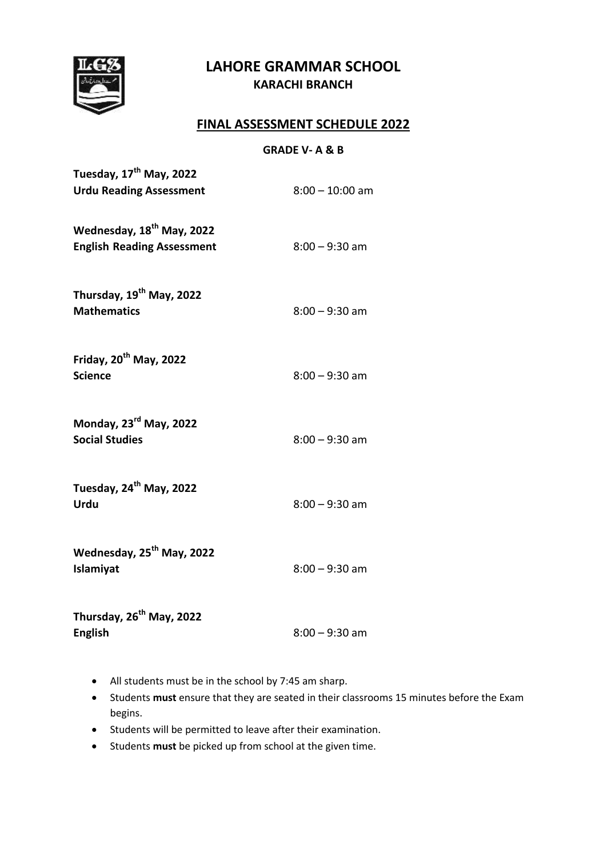# **LAHORE GRAMMAR SCHOOL KARACHI BRANCH**



# **FINAL ASSESSMENT SCHEDULE 2022**

#### **GRADE V- A & B**

| Tuesday, 17 <sup>th</sup> May, 2022<br><b>Urdu Reading Assessment</b>      | $8:00 - 10:00$ am |
|----------------------------------------------------------------------------|-------------------|
| Wednesday, 18 <sup>th</sup> May, 2022<br><b>English Reading Assessment</b> | $8:00 - 9:30$ am  |
| Thursday, 19 <sup>th</sup> May, 2022<br><b>Mathematics</b>                 | $8:00 - 9:30$ am  |
| Friday, 20 <sup>th</sup> May, 2022<br><b>Science</b>                       | $8:00 - 9:30$ am  |
| Monday, 23 <sup>rd</sup> May, 2022<br><b>Social Studies</b>                | $8:00 - 9:30$ am  |
| Tuesday, 24 <sup>th</sup> May, 2022<br>Urdu                                | $8:00 - 9:30$ am  |
| Wednesday, 25 <sup>th</sup> May, 2022<br>Islamiyat                         | $8:00 - 9:30$ am  |
| Thursday, 26 <sup>th</sup> May, 2022<br><b>English</b>                     | $8:00 - 9:30$ am  |

- All students must be in the school by 7:45 am sharp.
- Students **must** ensure that they are seated in their classrooms 15 minutes before the Exam begins.
- Students will be permitted to leave after their examination.
- Students **must** be picked up from school at the given time.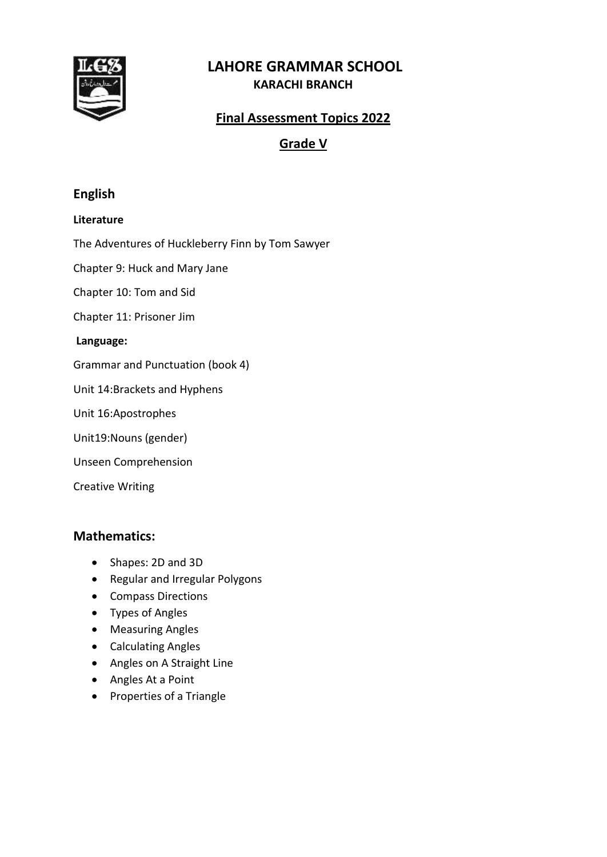

# **LAHORE GRAMMAR SCHOOL KARACHI BRANCH**

# **Final Assessment Topics 2022**

# **Grade V**

## **English**

#### **Literature**

The Adventures of Huckleberry Finn by Tom Sawyer

Chapter 9: Huck and Mary Jane

Chapter 10: Tom and Sid

Chapter 11: Prisoner Jim

#### **Language:**

Grammar and Punctuation (book 4)

Unit 14:Brackets and Hyphens

Unit 16:Apostrophes

Unit19:Nouns (gender)

Unseen Comprehension

Creative Writing

### **Mathematics:**

- Shapes: 2D and 3D
- Regular and Irregular Polygons
- Compass Directions
- Types of Angles
- Measuring Angles
- Calculating Angles
- Angles on A Straight Line
- Angles At a Point
- Properties of a Triangle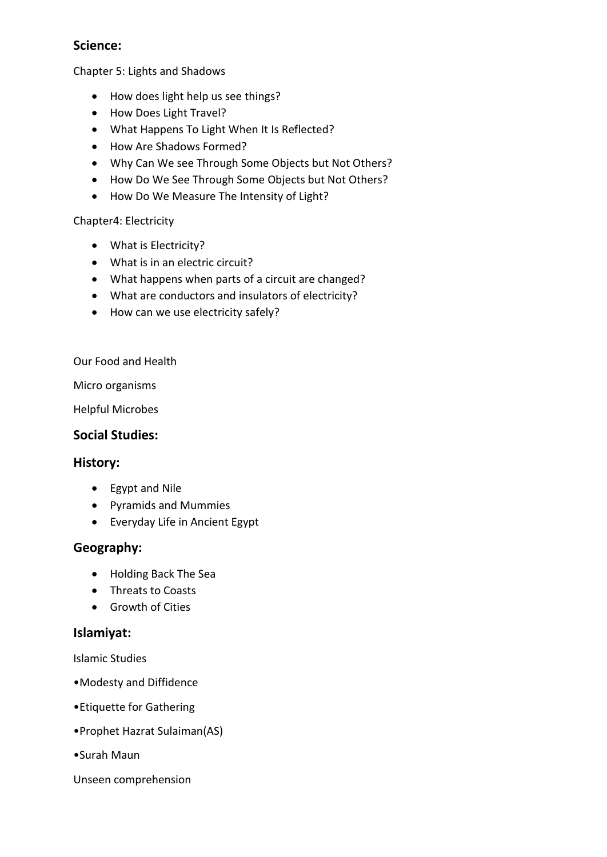# **Science:**

Chapter 5: Lights and Shadows

- How does light help us see things?
- How Does Light Travel?
- What Happens To Light When It Is Reflected?
- How Are Shadows Formed?
- Why Can We see Through Some Objects but Not Others?
- How Do We See Through Some Objects but Not Others?
- How Do We Measure The Intensity of Light?

### Chapter4: Electricity

- What is Electricity?
- What is in an electric circuit?
- What happens when parts of a circuit are changed?
- What are conductors and insulators of electricity?
- How can we use electricity safely?

Our Food and Health

Micro organisms

Helpful Microbes

### **Social Studies:**

### **History:**

- Egypt and Nile
- Pyramids and Mummies
- Everyday Life in Ancient Egypt

## **Geography:**

- Holding Back The Sea
- Threats to Coasts
- Growth of Cities

## **Islamiyat:**

Islamic Studies

- •Modesty and Diffidence
- •Etiquette for Gathering
- •Prophet Hazrat Sulaiman(AS)
- •Surah Maun

#### Unseen comprehension